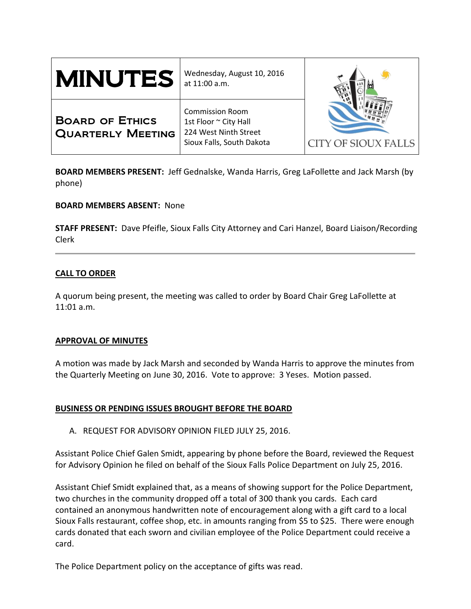| <b>MINUTES</b>                                     | Wednesday, August 10, 2016<br>at 11:00 a.m.                                                           |                            |
|----------------------------------------------------|-------------------------------------------------------------------------------------------------------|----------------------------|
| <b>BOARD OF ETHICS</b><br><b>QUARTERLY MEETING</b> | <b>Commission Room</b><br>1st Floor ~ City Hall<br>224 West Ninth Street<br>Sioux Falls, South Dakota | <b>CITY OF SIOUX FALLS</b> |

**BOARD MEMBERS PRESENT:** Jeff Gednalske, Wanda Harris, Greg LaFollette and Jack Marsh (by phone)

## **BOARD MEMBERS ABSENT:** None

**STAFF PRESENT:** Dave Pfeifle, Sioux Falls City Attorney and Cari Hanzel, Board Liaison/Recording Clerk

# **CALL TO ORDER**

A quorum being present, the meeting was called to order by Board Chair Greg LaFollette at 11:01 a.m.

## **APPROVAL OF MINUTES**

A motion was made by Jack Marsh and seconded by Wanda Harris to approve the minutes from the Quarterly Meeting on June 30, 2016. Vote to approve: 3 Yeses. Motion passed.

# **BUSINESS OR PENDING ISSUES BROUGHT BEFORE THE BOARD**

A. REQUEST FOR ADVISORY OPINION FILED JULY 25, 2016.

Assistant Police Chief Galen Smidt, appearing by phone before the Board, reviewed the Request for Advisory Opinion he filed on behalf of the Sioux Falls Police Department on July 25, 2016.

Assistant Chief Smidt explained that, as a means of showing support for the Police Department, two churches in the community dropped off a total of 300 thank you cards. Each card contained an anonymous handwritten note of encouragement along with a gift card to a local Sioux Falls restaurant, coffee shop, etc. in amounts ranging from \$5 to \$25. There were enough cards donated that each sworn and civilian employee of the Police Department could receive a card.

The Police Department policy on the acceptance of gifts was read.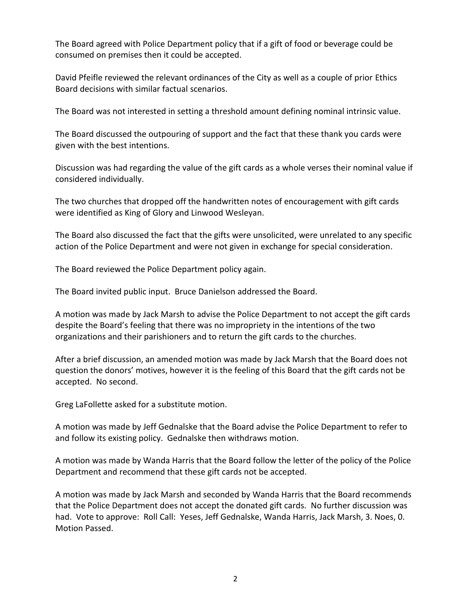The Board agreed with Police Department policy that if a gift of food or beverage could be consumed on premises then it could be accepted.

David Pfeifle reviewed the relevant ordinances of the City as well as a couple of prior Ethics Board decisions with similar factual scenarios.

The Board was not interested in setting a threshold amount defining nominal intrinsic value.

The Board discussed the outpouring of support and the fact that these thank you cards were given with the best intentions.

Discussion was had regarding the value of the gift cards as a whole verses their nominal value if considered individually.

The two churches that dropped off the handwritten notes of encouragement with gift cards were identified as King of Glory and Linwood Wesleyan.

The Board also discussed the fact that the gifts were unsolicited, were unrelated to any specific action of the Police Department and were not given in exchange for special consideration.

The Board reviewed the Police Department policy again.

The Board invited public input. Bruce Danielson addressed the Board.

A motion was made by Jack Marsh to advise the Police Department to not accept the gift cards despite the Board's feeling that there was no impropriety in the intentions of the two organizations and their parishioners and to return the gift cards to the churches.

After a brief discussion, an amended motion was made by Jack Marsh that the Board does not question the donors' motives, however it is the feeling of this Board that the gift cards not be accepted. No second.

Greg LaFollette asked for a substitute motion.

A motion was made by Jeff Gednalske that the Board advise the Police Department to refer to and follow its existing policy. Gednalske then withdraws motion.

A motion was made by Wanda Harris that the Board follow the letter of the policy of the Police Department and recommend that these gift cards not be accepted.

A motion was made by Jack Marsh and seconded by Wanda Harris that the Board recommends that the Police Department does not accept the donated gift cards. No further discussion was had. Vote to approve: Roll Call: Yeses, Jeff Gednalske, Wanda Harris, Jack Marsh, 3. Noes, 0. Motion Passed.